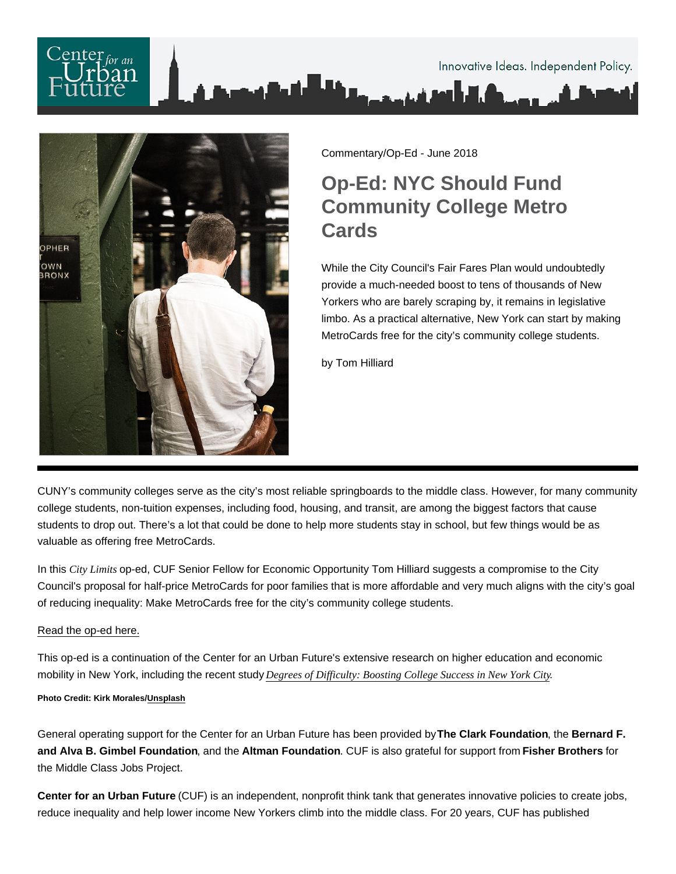

Commentary/Op-Ed - June 2018

## Op-Ed: NYC Should Fund Community College Metro **Cards**

While the City Council's Fair Fares Plan would undoubtedly provide a much-needed boost to tens of thousands of New Yorkers who are barely scraping by, it remains in legislative limbo. As a practical alternative, New York can start by making MetroCards free for the city's community college students.

by Tom Hilliard

CUNY's community colleges serve as the city's most reliable springboards to the middle class. However, for many community college students, non-tuition expenses, including food, housing, and transit, are among the biggest factors that cause students to drop out. There's a lot that could be done to help more students stay in school, but few things would be as valuable as offering free MetroCards.

In this City Limits op-ed, CUF Senior Fellow for Economic Opportunity Tom Hilliard suggests a compromise to the City Council's proposal for half-price MetroCards for poor families that is more affordable and very much aligns with the city's goal of reducing inequality: Make MetroCards free for the city's community college students.

## [Read the op-ed here.](https://citylimits.org/2018/06/06/cityviews-as-mayor-council-clash-over-fares-cuny-metrocards-offer-a-compromise/)

This op-ed is a continuation of the Center for an Urban Future's extensive research on higher education and economic mobility in New York, including the recent study [Degrees of Difficulty: Boosting College Success in New Yor](https://nycfuture.org/research/degrees-of-difficulty)k City .

Photo Credit: Kirk Morales/ [Unsplash](https://unsplash.com/photos/RtctU0ei-T8)

General operating support for the Center for an Urban Future has been provided by The Clark Foundation , the Bernard F. and Alva B. Gimbel Foundation , and the Altman Foundation . CUF is also grateful for support from Fisher Brothers for the Middle Class Jobs Project.

Center for an Urban Future (CUF) is an independent, nonprofit think tank that generates innovative policies to create jobs, reduce inequality and help lower income New Yorkers climb into the middle class. For 20 years, CUF has published